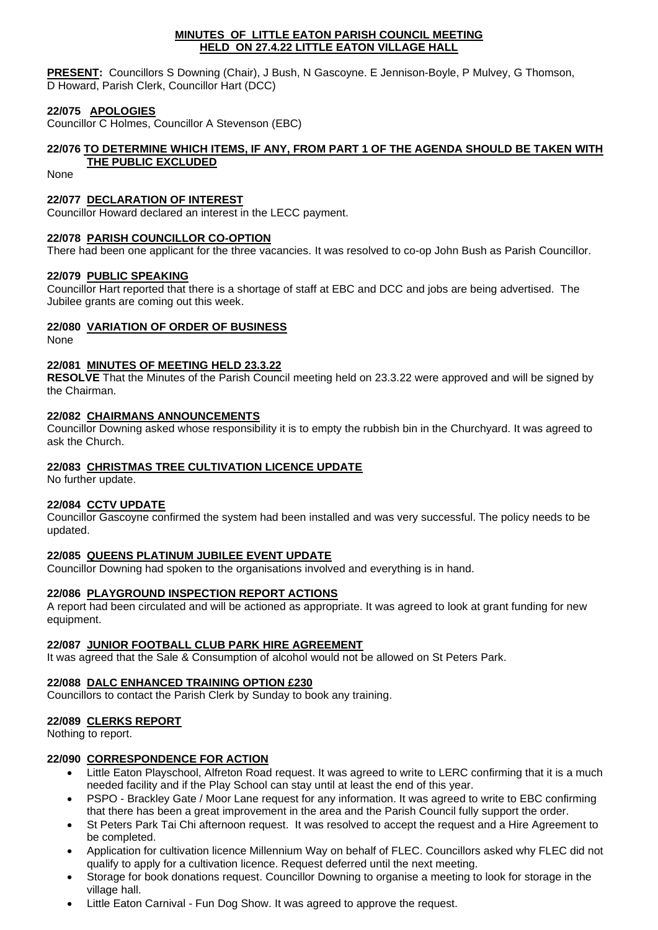#### **MINUTES OF LITTLE EATON PARISH COUNCIL MEETING HELD ON 27.4.22 LITTLE EATON VILLAGE HALL**

**PRESENT:** Councillors S Downing (Chair), J Bush, N Gascoyne. E Jennison-Boyle, P Mulvey, G Thomson, D Howard, Parish Clerk, Councillor Hart (DCC)

### **22/075 APOLOGIES**

Councillor C Holmes, Councillor A Stevenson (EBC)

# **22/076 TO DETERMINE WHICH ITEMS, IF ANY, FROM PART 1 OF THE AGENDA SHOULD BE TAKEN WITH**

# **THE PUBLIC EXCLUDED**

None

### **22/077 DECLARATION OF INTEREST**

Councillor Howard declared an interest in the LECC payment.

### **22/078 PARISH COUNCILLOR CO-OPTION**

There had been one applicant for the three vacancies. It was resolved to co-op John Bush as Parish Councillor.

### **22/079 PUBLIC SPEAKING**

Councillor Hart reported that there is a shortage of staff at EBC and DCC and jobs are being advertised. The Jubilee grants are coming out this week.

### **22/080 VARIATION OF ORDER OF BUSINESS**

None

### **22/081 MINUTES OF MEETING HELD 23.3.22**

**RESOLVE** That the Minutes of the Parish Council meeting held on 23.3.22 were approved and will be signed by the Chairman.

### **22/082 CHAIRMANS ANNOUNCEMENTS**

Councillor Downing asked whose responsibility it is to empty the rubbish bin in the Churchyard. It was agreed to ask the Church.

### **22/083 CHRISTMAS TREE CULTIVATION LICENCE UPDATE**

No further update.

### **22/084 CCTV UPDATE**

Councillor Gascoyne confirmed the system had been installed and was very successful. The policy needs to be updated.

#### **22/085 QUEENS PLATINUM JUBILEE EVENT UPDATE**

Councillor Downing had spoken to the organisations involved and everything is in hand.

#### **22/086 PLAYGROUND INSPECTION REPORT ACTIONS**

A report had been circulated and will be actioned as appropriate. It was agreed to look at grant funding for new equipment.

### **22/087 JUNIOR FOOTBALL CLUB PARK HIRE AGREEMENT**

It was agreed that the Sale & Consumption of alcohol would not be allowed on St Peters Park.

#### **22/088 DALC ENHANCED TRAINING OPTION £230**

Councillors to contact the Parish Clerk by Sunday to book any training.

### **22/089 CLERKS REPORT**

Nothing to report.

#### **22/090 CORRESPONDENCE FOR ACTION**

- Little Eaton Playschool, Alfreton Road request. It was agreed to write to LERC confirming that it is a much needed facility and if the Play School can stay until at least the end of this year.
- PSPO Brackley Gate / Moor Lane request for any information. It was agreed to write to EBC confirming that there has been a great improvement in the area and the Parish Council fully support the order.
- St Peters Park Tai Chi afternoon request. It was resolved to accept the request and a Hire Agreement to be completed.
- Application for cultivation licence Millennium Way on behalf of FLEC. Councillors asked why FLEC did not qualify to apply for a cultivation licence. Request deferred until the next meeting.
- Storage for book donations request. Councillor Downing to organise a meeting to look for storage in the village hall.
- Little Eaton Carnival Fun Dog Show. It was agreed to approve the request.